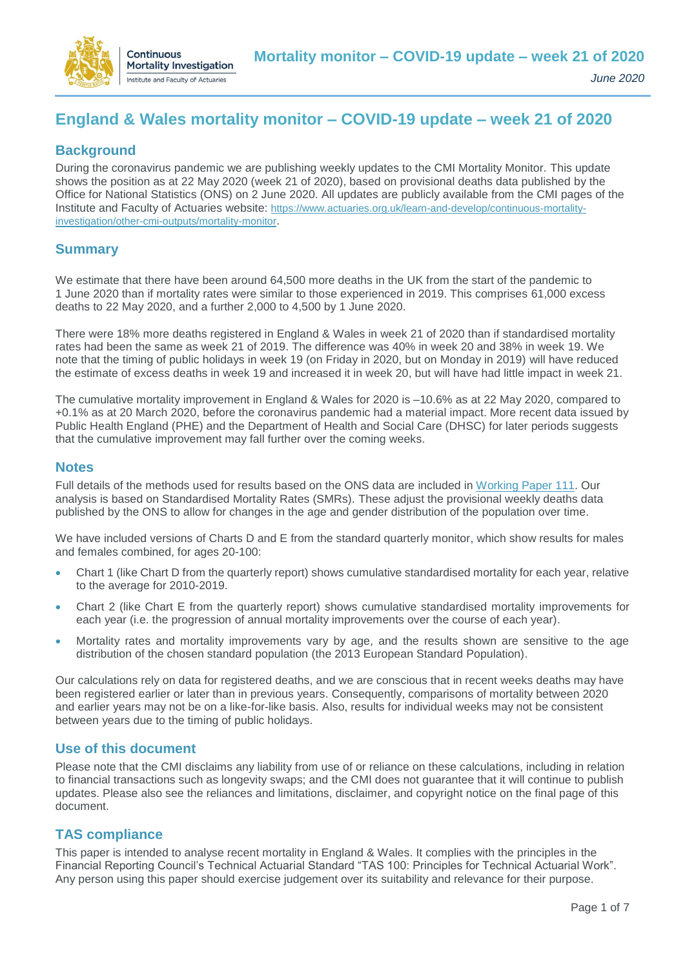

# **England & Wales mortality monitor – COVID-19 update – week 21 of 2020**

### **Background**

During the coronavirus pandemic we are publishing weekly updates to the CMI Mortality Monitor. This update shows the position as at 22 May 2020 (week 21 of 2020), based on provisional deaths data published by the Office for National Statistics (ONS) on 2 June 2020. All updates are publicly available from the CMI pages of the Institute and Faculty of Actuaries website: [https://www.actuaries.org.uk/learn-and-develop/continuous-mortality](https://www.actuaries.org.uk/learn-and-develop/continuous-mortality-investigation/other-cmi-outputs/mortality-monitor)[investigation/other-cmi-outputs/mortality-monitor](https://www.actuaries.org.uk/learn-and-develop/continuous-mortality-investigation/other-cmi-outputs/mortality-monitor).

# **Summary**

We estimate that there have been around 64,500 more deaths in the UK from the start of the pandemic to 1 June 2020 than if mortality rates were similar to those experienced in 2019. This comprises 61,000 excess deaths to 22 May 2020, and a further 2,000 to 4,500 by 1 June 2020.

There were 18% more deaths registered in England & Wales in week 21 of 2020 than if standardised mortality rates had been the same as week 21 of 2019. The difference was 40% in week 20 and 38% in week 19. We note that the timing of public holidays in week 19 (on Friday in 2020, but on Monday in 2019) will have reduced the estimate of excess deaths in week 19 and increased it in week 20, but will have had little impact in week 21.

The cumulative mortality improvement in England & Wales for 2020 is –10.6% as at 22 May 2020, compared to +0.1% as at 20 March 2020, before the coronavirus pandemic had a material impact. More recent data issued by Public Health England (PHE) and the Department of Health and Social Care (DHSC) for later periods suggests that the cumulative improvement may fall further over the coming weeks.

#### **Notes**

Full details of the methods used for results based on the ONS data are included in [Working Paper 111.](https://www.actuaries.org.uk/learn-and-develop/continuous-mortality-investigation/cmi-working-papers/mortality-projections/cmi-working-paper-111) Our analysis is based on Standardised Mortality Rates (SMRs). These adjust the provisional weekly deaths data published by the ONS to allow for changes in the age and gender distribution of the population over time.

We have included versions of Charts D and E from the standard quarterly monitor, which show results for males and females combined, for ages 20-100:

- Chart 1 (like Chart D from the quarterly report) shows cumulative standardised mortality for each year, relative to the average for 2010-2019.
- Chart 2 (like Chart E from the quarterly report) shows cumulative standardised mortality improvements for each year (i.e. the progression of annual mortality improvements over the course of each year).
- Mortality rates and mortality improvements vary by age, and the results shown are sensitive to the age distribution of the chosen standard population (the 2013 European Standard Population).

Our calculations rely on data for registered deaths, and we are conscious that in recent weeks deaths may have been registered earlier or later than in previous years. Consequently, comparisons of mortality between 2020 and earlier years may not be on a like-for-like basis. Also, results for individual weeks may not be consistent between years due to the timing of public holidays.

# **Use of this document**

Please note that the CMI disclaims any liability from use of or reliance on these calculations, including in relation to financial transactions such as longevity swaps; and the CMI does not guarantee that it will continue to publish updates. Please also see the reliances and limitations, disclaimer, and copyright notice on the final page of this document.

#### **TAS compliance**

This paper is intended to analyse recent mortality in England & Wales. It complies with the principles in the Financial Reporting Council's Technical Actuarial Standard "TAS 100: Principles for Technical Actuarial Work". Any person using this paper should exercise judgement over its suitability and relevance for their purpose.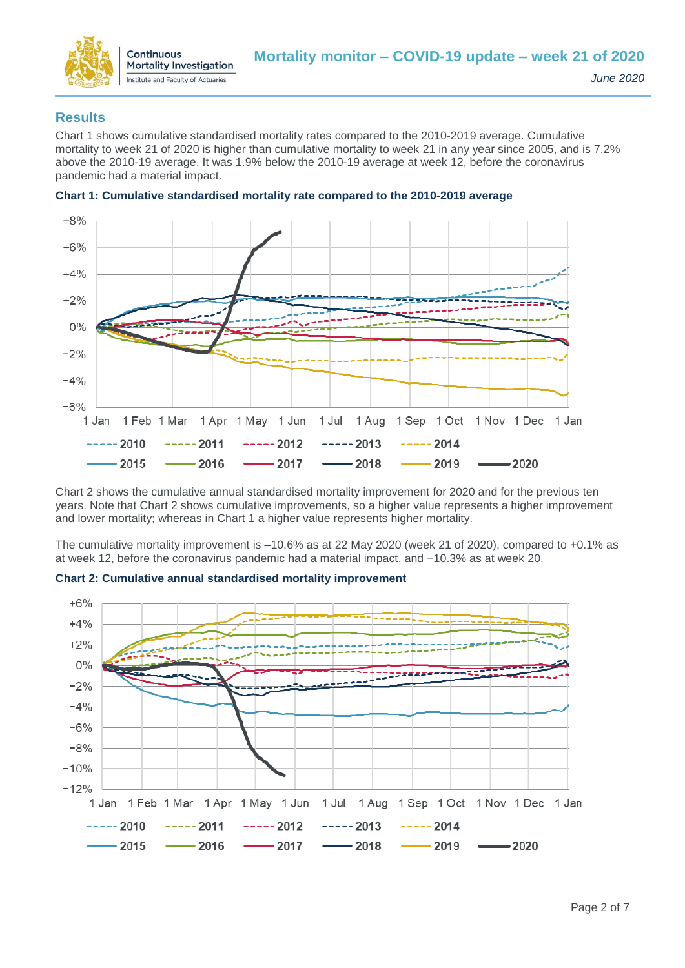

### **Results**

Chart 1 shows cumulative standardised mortality rates compared to the 2010-2019 average. Cumulative mortality to week 21 of 2020 is higher than cumulative mortality to week 21 in any year since 2005, and is 7.2% above the 2010-19 average. It was 1.9% below the 2010-19 average at week 12, before the coronavirus pandemic had a material impact.



#### **Chart 1: Cumulative standardised mortality rate compared to the 2010-2019 average**

Chart 2 shows the cumulative annual standardised mortality improvement for 2020 and for the previous ten years. Note that Chart 2 shows cumulative improvements, so a higher value represents a higher improvement and lower mortality; whereas in Chart 1 a higher value represents higher mortality.

The cumulative mortality improvement is –10.6% as at 22 May 2020 (week 21 of 2020), compared to +0.1% as at week 12, before the coronavirus pandemic had a material impact, and −10.3% as at week 20.



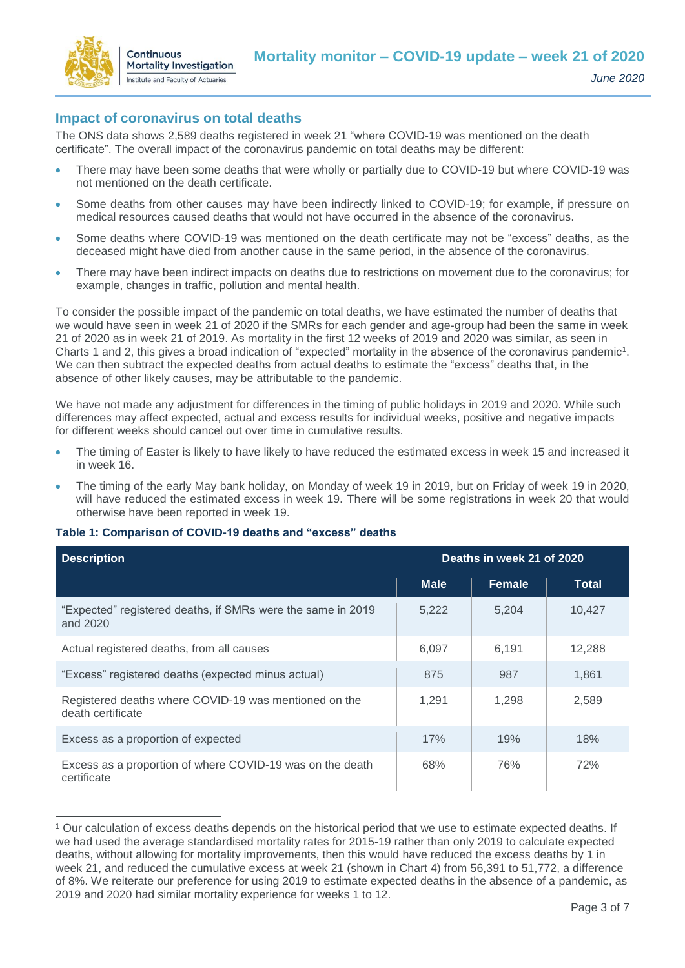

 $\overline{a}$ 

### **Impact of coronavirus on total deaths**

The ONS data shows 2,589 deaths registered in week 21 "where COVID-19 was mentioned on the death certificate". The overall impact of the coronavirus pandemic on total deaths may be different:

- There may have been some deaths that were wholly or partially due to COVID-19 but where COVID-19 was not mentioned on the death certificate.
- Some deaths from other causes may have been indirectly linked to COVID-19; for example, if pressure on medical resources caused deaths that would not have occurred in the absence of the coronavirus.
- Some deaths where COVID-19 was mentioned on the death certificate may not be "excess" deaths, as the deceased might have died from another cause in the same period, in the absence of the coronavirus.
- There may have been indirect impacts on deaths due to restrictions on movement due to the coronavirus; for example, changes in traffic, pollution and mental health.

To consider the possible impact of the pandemic on total deaths, we have estimated the number of deaths that we would have seen in week 21 of 2020 if the SMRs for each gender and age-group had been the same in week 21 of 2020 as in week 21 of 2019. As mortality in the first 12 weeks of 2019 and 2020 was similar, as seen in Charts 1 and 2, this gives a broad indication of "expected" mortality in the absence of the coronavirus pandemic<sup>1</sup>. We can then subtract the expected deaths from actual deaths to estimate the "excess" deaths that, in the absence of other likely causes, may be attributable to the pandemic.

We have not made any adjustment for differences in the timing of public holidays in 2019 and 2020. While such differences may affect expected, actual and excess results for individual weeks, positive and negative impacts for different weeks should cancel out over time in cumulative results.

- The timing of Easter is likely to have likely to have reduced the estimated excess in week 15 and increased it in week 16.
- The timing of the early May bank holiday, on Monday of week 19 in 2019, but on Friday of week 19 in 2020, will have reduced the estimated excess in week 19. There will be some registrations in week 20 that would otherwise have been reported in week 19.

#### **Table 1: Comparison of COVID-19 deaths and "excess" deaths**

| Deaths in week 21 of 2020<br><b>Description</b>                            |             |        |        |
|----------------------------------------------------------------------------|-------------|--------|--------|
|                                                                            | <b>Male</b> | Female | Total  |
| "Expected" registered deaths, if SMRs were the same in 2019<br>and 2020    | 5,222       | 5.204  | 10.427 |
| Actual registered deaths, from all causes                                  | 6.097       | 6.191  | 12.288 |
| "Excess" registered deaths (expected minus actual)                         | 875         | 987    | 1.861  |
| Registered deaths where COVID-19 was mentioned on the<br>death certificate | 1.291       | 1,298  | 2,589  |
| Excess as a proportion of expected                                         | 17%         | 19%    | 18%    |
| Excess as a proportion of where COVID-19 was on the death<br>certificate   | 68%         | 76%    | 72%    |

<sup>1</sup> Our calculation of excess deaths depends on the historical period that we use to estimate expected deaths. If we had used the average standardised mortality rates for 2015-19 rather than only 2019 to calculate expected deaths, without allowing for mortality improvements, then this would have reduced the excess deaths by 1 in week 21, and reduced the cumulative excess at week 21 (shown in Chart 4) from 56,391 to 51,772, a difference of 8%. We reiterate our preference for using 2019 to estimate expected deaths in the absence of a pandemic, as 2019 and 2020 had similar mortality experience for weeks 1 to 12.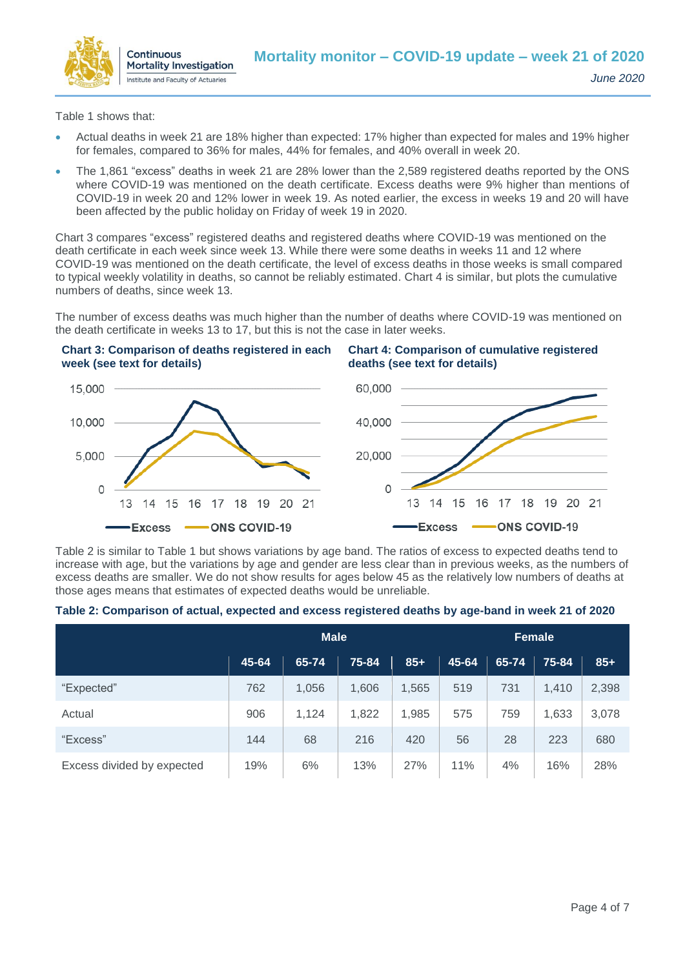

**Chart 4: Comparison of cumulative registered** 

**deaths (see text for details)**

Table 1 shows that:

- Actual deaths in week 21 are 18% higher than expected: 17% higher than expected for males and 19% higher for females, compared to 36% for males, 44% for females, and 40% overall in week 20.
- The 1,861 "excess" deaths in week 21 are 28% lower than the 2,589 registered deaths reported by the ONS where COVID-19 was mentioned on the death certificate. Excess deaths were 9% higher than mentions of COVID-19 in week 20 and 12% lower in week 19. As noted earlier, the excess in weeks 19 and 20 will have been affected by the public holiday on Friday of week 19 in 2020.

Chart 3 compares "excess" registered deaths and registered deaths where COVID-19 was mentioned on the death certificate in each week since week 13. While there were some deaths in weeks 11 and 12 where COVID-19 was mentioned on the death certificate, the level of excess deaths in those weeks is small compared to typical weekly volatility in deaths, so cannot be reliably estimated. Chart 4 is similar, but plots the cumulative numbers of deaths, since week 13.

The number of excess deaths was much higher than the number of deaths where COVID-19 was mentioned on the death certificate in weeks 13 to 17, but this is not the case in later weeks.

#### **Chart 3: Comparison of deaths registered in each week (see text for details)**



Table 2 is similar to Table 1 but shows variations by age band. The ratios of excess to expected deaths tend to increase with age, but the variations by age and gender are less clear than in previous weeks, as the numbers of excess deaths are smaller. We do not show results for ages below 45 as the relatively low numbers of deaths at those ages means that estimates of expected deaths would be unreliable.

|  |  |  | Table 2: Comparison of actual, expected and excess registered deaths by age-band in week 21 of 2020 |
|--|--|--|-----------------------------------------------------------------------------------------------------|
|--|--|--|-----------------------------------------------------------------------------------------------------|

|                            | <b>Male</b> |       |       | <b>Female</b> |       |       |       |       |
|----------------------------|-------------|-------|-------|---------------|-------|-------|-------|-------|
|                            | 45-64       | 65-74 | 75-84 | $85+$         | 45-64 | 65-74 | 75-84 | $85+$ |
| "Expected"                 | 762         | 1,056 | 1,606 | 1,565         | 519   | 731   | 1,410 | 2,398 |
| Actual                     | 906         | 1,124 | 1,822 | 1,985         | 575   | 759   | 1,633 | 3,078 |
| "Excess"                   | 144         | 68    | 216   | 420           | 56    | 28    | 223   | 680   |
| Excess divided by expected | 19%         | 6%    | 13%   | 27%           | 11%   | 4%    | 16%   | 28%   |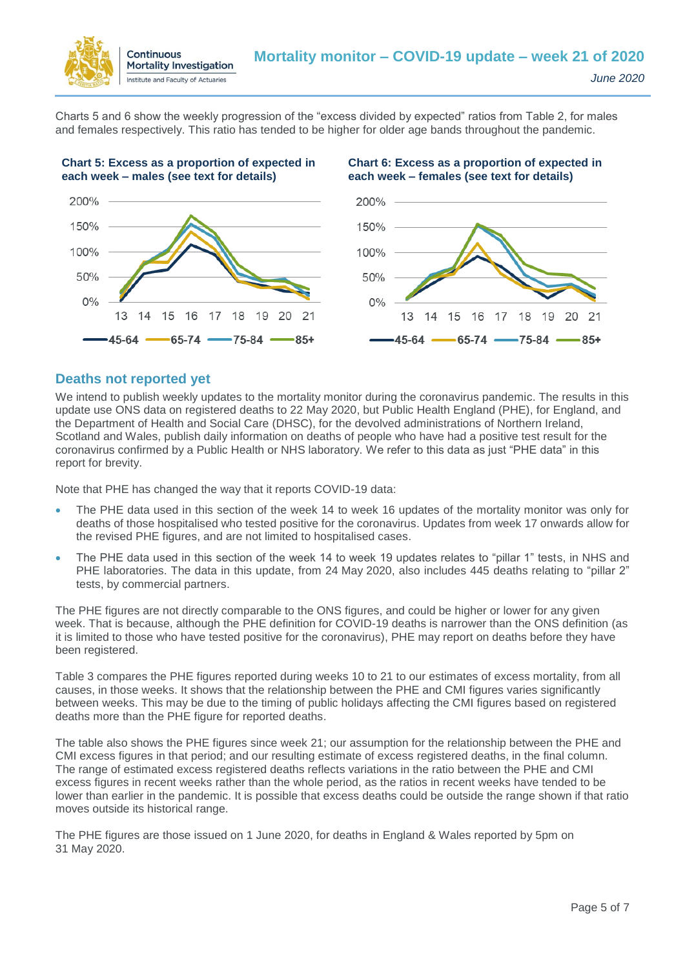

Charts 5 and 6 show the weekly progression of the "excess divided by expected" ratios from Table 2, for males and females respectively. This ratio has tended to be higher for older age bands throughout the pandemic.



#### **Deaths not reported yet**

We intend to publish weekly updates to the mortality monitor during the coronavirus pandemic. The results in this update use ONS data on registered deaths to 22 May 2020, but Public Health England (PHE), for England, and the Department of Health and Social Care (DHSC), for the devolved administrations of Northern Ireland, Scotland and Wales, publish daily information on deaths of people who have had a positive test result for the coronavirus confirmed by a Public Health or NHS laboratory. We refer to this data as just "PHE data" in this report for brevity.

Note that PHE has changed the way that it reports COVID-19 data:

- The PHE data used in this section of the week 14 to week 16 updates of the mortality monitor was only for deaths of those hospitalised who tested positive for the coronavirus. Updates from week 17 onwards allow for the revised PHE figures, and are not limited to hospitalised cases.
- The PHE data used in this section of the week 14 to week 19 updates relates to "pillar 1" tests, in NHS and PHE laboratories. The data in this update, from 24 May 2020, also includes 445 deaths relating to "pillar 2" tests, by commercial partners.

The PHE figures are not directly comparable to the ONS figures, and could be higher or lower for any given week. That is because, although the PHE definition for COVID-19 deaths is narrower than the ONS definition (as it is limited to those who have tested positive for the coronavirus), PHE may report on deaths before they have been registered.

Table 3 compares the PHE figures reported during weeks 10 to 21 to our estimates of excess mortality, from all causes, in those weeks. It shows that the relationship between the PHE and CMI figures varies significantly between weeks. This may be due to the timing of public holidays affecting the CMI figures based on registered deaths more than the PHE figure for reported deaths.

The table also shows the PHE figures since week 21; our assumption for the relationship between the PHE and CMI excess figures in that period; and our resulting estimate of excess registered deaths, in the final column. The range of estimated excess registered deaths reflects variations in the ratio between the PHE and CMI excess figures in recent weeks rather than the whole period, as the ratios in recent weeks have tended to be lower than earlier in the pandemic. It is possible that excess deaths could be outside the range shown if that ratio moves outside its historical range.

The PHE figures are those issued on 1 June 2020, for deaths in England & Wales reported by 5pm on 31 May 2020.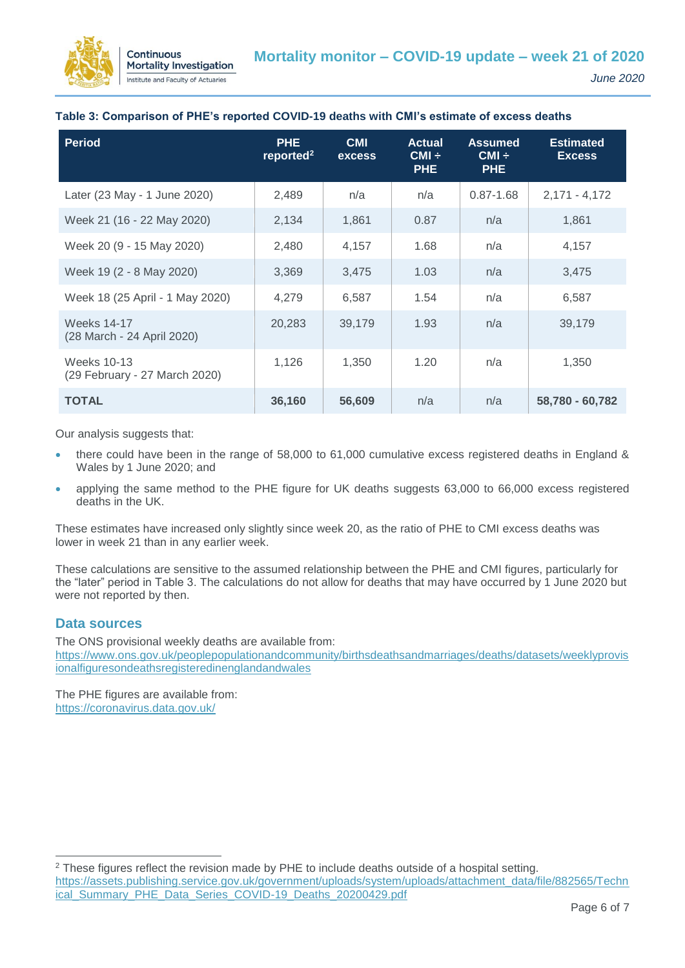

#### **Table 3: Comparison of PHE's reported COVID-19 deaths with CMI's estimate of excess deaths**

| Period                                           | <b>PHE</b><br>reported <sup>2</sup> | <b>CMI</b><br><b>excess</b> | <b>Actual</b><br>$CMI \div$<br>PHE. | <b>Assumed</b><br>$CMI \div$<br><b>PHE</b> | <b>Estimated</b><br><b>Excess</b> |
|--------------------------------------------------|-------------------------------------|-----------------------------|-------------------------------------|--------------------------------------------|-----------------------------------|
| Later (23 May - 1 June 2020)                     | 2,489                               | n/a                         | n/a                                 | $0.87 - 1.68$                              | $2,171 - 4,172$                   |
| Week 21 (16 - 22 May 2020)                       | 2,134                               | 1.861                       | 0.87                                | n/a                                        | 1,861                             |
| Week 20 (9 - 15 May 2020)                        | 2,480                               | 4,157                       | 1.68                                | n/a                                        | 4,157                             |
| Week 19 (2 - 8 May 2020)                         | 3,369                               | 3,475                       | 1.03                                | n/a                                        | 3,475                             |
| Week 18 (25 April - 1 May 2020)                  | 4,279                               | 6,587                       | 1.54                                | n/a                                        | 6,587                             |
| <b>Weeks 14-17</b><br>(28 March - 24 April 2020) | 20,283                              | 39.179                      | 1.93                                | n/a                                        | 39,179                            |
| Weeks 10-13<br>(29 February - 27 March 2020)     | 1,126                               | 1,350                       | 1.20                                | n/a                                        | 1,350                             |
| <b>TOTAL</b>                                     | 36,160                              | 56,609                      | n/a                                 | n/a                                        | 58,780 - 60,782                   |

Our analysis suggests that:

- there could have been in the range of 58,000 to 61,000 cumulative excess registered deaths in England & Wales by 1 June 2020; and
- applying the same method to the PHE figure for UK deaths suggests 63,000 to 66,000 excess registered deaths in the UK.

These estimates have increased only slightly since week 20, as the ratio of PHE to CMI excess deaths was lower in week 21 than in any earlier week.

These calculations are sensitive to the assumed relationship between the PHE and CMI figures, particularly for the "later" period in Table 3. The calculations do not allow for deaths that may have occurred by 1 June 2020 but were not reported by then.

#### **Data sources**

 $\overline{a}$ 

The ONS provisional weekly deaths are available from: [https://www.ons.gov.uk/peoplepopulationandcommunity/birthsdeathsandmarriages/deaths/datasets/weeklyprovis](https://www.ons.gov.uk/peoplepopulationandcommunity/birthsdeathsandmarriages/deaths/datasets/weeklyprovisionalfiguresondeathsregisteredinenglandandwales) [ionalfiguresondeathsregisteredinenglandandwales](https://www.ons.gov.uk/peoplepopulationandcommunity/birthsdeathsandmarriages/deaths/datasets/weeklyprovisionalfiguresondeathsregisteredinenglandandwales)

The PHE figures are available from: <https://coronavirus.data.gov.uk/>

<sup>2</sup> These figures reflect the revision made by PHE to include deaths outside of a hospital setting. [https://assets.publishing.service.gov.uk/government/uploads/system/uploads/attachment\\_data/file/882565/Techn](https://assets.publishing.service.gov.uk/government/uploads/system/uploads/attachment_data/file/882565/Technical_Summary_PHE_Data_Series_COVID-19_Deaths_20200429.pdf) [ical\\_Summary\\_PHE\\_Data\\_Series\\_COVID-19\\_Deaths\\_20200429.pdf](https://assets.publishing.service.gov.uk/government/uploads/system/uploads/attachment_data/file/882565/Technical_Summary_PHE_Data_Series_COVID-19_Deaths_20200429.pdf)